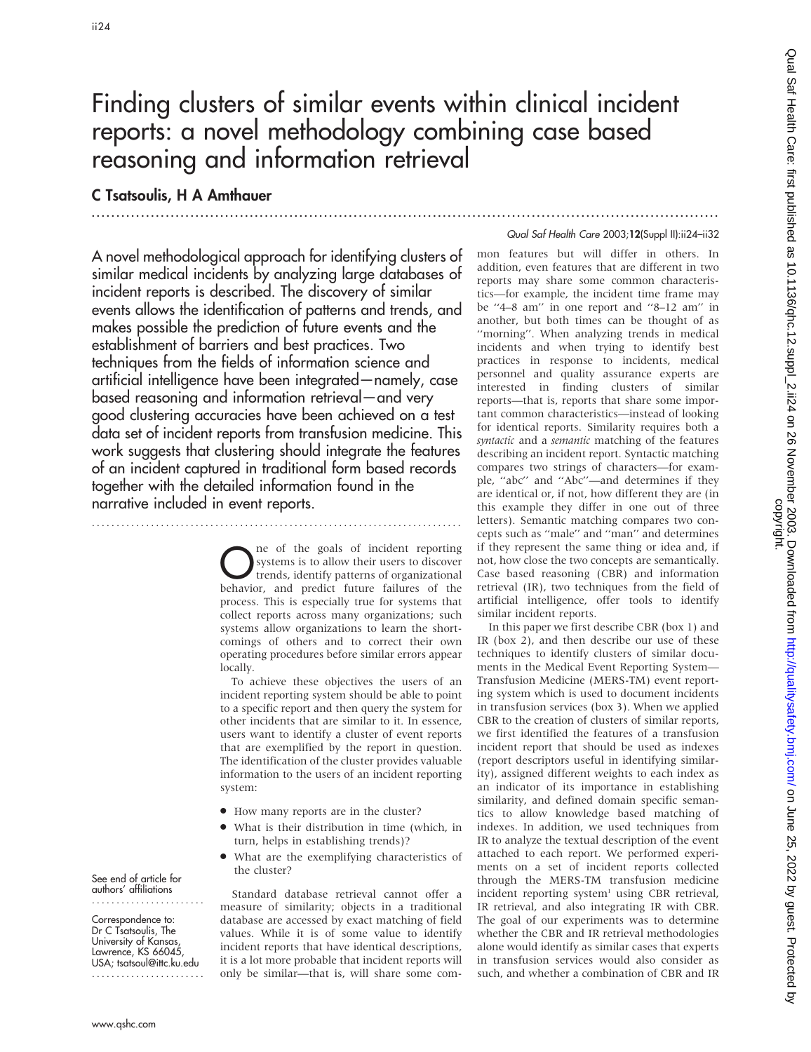# Finding clusters of similar events within clinical incident reports: a novel methodology combining case based reasoning and information retrieval

# C Tsatsoulis, H A Amthauer

.............................................................................................................................. .

A novel methodological approach for identifying clusters of similar medical incidents by analyzing large databases of incident reports is described. The discovery of similar events allows the identification of patterns and trends, and makes possible the prediction of future events and the establishment of barriers and best practices. Two techniques from the fields of information science and artificial intelligence have been integrated—namely, case based reasoning and information retrieval—and very good clustering accuracies have been achieved on a test data set of incident reports from transfusion medicine. This work suggests that clustering should integrate the features of an incident captured in traditional form based records together with the detailed information found in the narrative included in event reports.

...........................................................................

The of the goals of incident reporting<br>systems is to allow their users to discover<br>trends, identify patterns of organizational<br>hebraior, and predict future failures of the systems is to allow their users to discover trends, identify patterns of organizational behavior, and predict future failures of the process. This is especially true for systems that collect reports across many organizations; such systems allow organizations to learn the shortcomings of others and to correct their own operating procedures before similar errors appear locally.

To achieve these objectives the users of an incident reporting system should be able to point to a specific report and then query the system for other incidents that are similar to it. In essence, users want to identify a cluster of event reports that are exemplified by the report in question. The identification of the cluster provides valuable information to the users of an incident reporting system:

- $\bullet$  How many reports are in the cluster?
- What is their distribution in time (which, in turn, helps in establishing trends)?
- What are the exemplifying characteristics of the cluster?

Standard database retrieval cannot offer a measure of similarity; objects in a traditional database are accessed by exact matching of field values. While it is of some value to identify incident reports that have identical descriptions, it is a lot more probable that incident reports will only be similar—that is, will share some com-

#### Qual Saf Health Care 2003;12(Suppl II):ii24–ii32

mon features but will differ in others. In addition, even features that are different in two reports may share some common characteristics—for example, the incident time frame may be ''4–8 am'' in one report and ''8–12 am'' in another, but both times can be thought of as ''morning''. When analyzing trends in medical incidents and when trying to identify best practices in response to incidents, medical personnel and quality assurance experts are interested in finding clusters of similar reports—that is, reports that share some important common characteristics—instead of looking for identical reports. Similarity requires both a syntactic and a semantic matching of the features describing an incident report. Syntactic matching compares two strings of characters—for example, ''abc'' and ''Abc''—and determines if they are identical or, if not, how different they are (in this example they differ in one out of three letters). Semantic matching compares two concepts such as ''male'' and ''man'' and determines if they represent the same thing or idea and, if not, how close the two concepts are semantically. Case based reasoning (CBR) and information retrieval (IR), two techniques from the field of artificial intelligence, offer tools to identify similar incident reports.

In this paper we first describe CBR (box 1) and IR (box 2), and then describe our use of these techniques to identify clusters of similar documents in the Medical Event Reporting System— Transfusion Medicine (MERS-TM) event reporting system which is used to document incidents in transfusion services (box 3). When we applied CBR to the creation of clusters of similar reports, we first identified the features of a transfusion incident report that should be used as indexes (report descriptors useful in identifying similarity), assigned different weights to each index as an indicator of its importance in establishing similarity, and defined domain specific semantics to allow knowledge based matching of indexes. In addition, we used techniques from IR to analyze the textual description of the event attached to each report. We performed experiments on a set of incident reports collected through the MERS-TM transfusion medicine incident reporting system<sup>1</sup> using CBR retrieval, IR retrieval, and also integrating IR with CBR. The goal of our experiments was to determine whether the CBR and IR retrieval methodologies alone would identify as similar cases that experts in transfusion services would also consider as such, and whether a combination of CBR and IR

Qual Saf Health Care: first published as 10.1136/qhc.12.suppl\_2.ii24 on 26 November 2003. Downloaded from http://qualitysafety.bmj.com/ on June 25, 2022 by guest. Protected by<br>copyright. Qual Saf Health Care: first published as 10.1136/qhc.12.suppl\_2.ii24 on 26 November 2003. Downloaded from thp://qualitysafety.bmj.com/ on June 25, 2022 by guest. Protected by

See end of article for authors' affiliations .......................

Correspondence to: Dr C Tsatsoulis, The University of Kansas, Lawrence, KS 66045, USA; tsatsoul@ittc.ku.edu .......................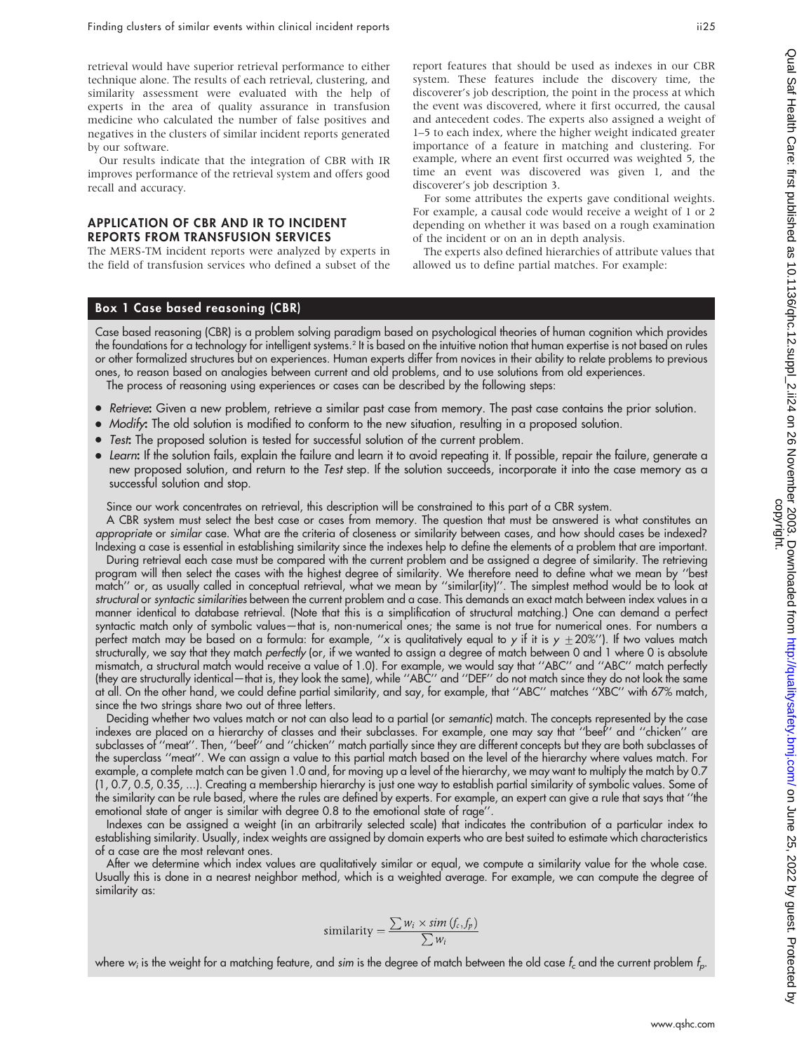retrieval would have superior retrieval performance to either technique alone. The results of each retrieval, clustering, and similarity assessment were evaluated with the help of experts in the area of quality assurance in transfusion medicine who calculated the number of false positives and negatives in the clusters of similar incident reports generated by our software.

Our results indicate that the integration of CBR with IR improves performance of the retrieval system and offers good recall and accuracy.

#### APPLICATION OF CBR AND IR TO INCIDENT REPORTS FROM TRANSFUSION SERVICES

The MERS-TM incident reports were analyzed by experts in the field of transfusion services who defined a subset of the report features that should be used as indexes in our CBR system. These features include the discovery time, the discoverer's job description, the point in the process at which the event was discovered, where it first occurred, the causal and antecedent codes. The experts also assigned a weight of 1–5 to each index, where the higher weight indicated greater importance of a feature in matching and clustering. For example, where an event first occurred was weighted 5, the time an event was discovered was given 1, and the discoverer's job description 3.

For some attributes the experts gave conditional weights. For example, a causal code would receive a weight of 1 or 2 depending on whether it was based on a rough examination of the incident or on an in depth analysis.

The experts also defined hierarchies of attribute values that allowed us to define partial matches. For example:

# Box 1 Case based reasoning (CBR)

Case based reasoning (CBR) is a problem solving paradigm based on psychological theories of human cognition which provides the foundations for a technology for intelligent systems.2 It is based on the intuitive notion that human expertise is not based on rules or other formalized structures but on experiences. Human experts differ from novices in their ability to relate problems to previous ones, to reason based on analogies between current and old problems, and to use solutions from old experiences.

The process of reasoning using experiences or cases can be described by the following steps:

- N Retrieve: Given a new problem, retrieve a similar past case from memory. The past case contains the prior solution.
- Modify: The old solution is modified to conform to the new situation, resulting in a proposed solution.
- Test: The proposed solution is tested for successful solution of the current problem.
- Learn: If the solution fails, explain the failure and learn it to avoid repeating it. If possible, repair the failure, generate a new proposed solution, and return to the Test step. If the solution succeeds, incorporate it into the case memory as a successful solution and stop.

Since our work concentrates on retrieval, this description will be constrained to this part of a CBR system.

A CBR system must select the best case or cases from memory. The question that must be answered is what constitutes an appropriate or similar case. What are the criteria of closeness or similarity between cases, and how should cases be indexed? Indexing a case is essential in establishing similarity since the indexes help to define the elements of a problem that are important.

During retrieval each case must be compared with the current problem and be assigned a degree of similarity. The retrieving program will then select the cases with the highest degree of similarity. We therefore need to define what we mean by ''best match'' or, as usually called in conceptual retrieval, what we mean by ''similar(ity)''. The simplest method would be to look at structural or syntactic similarities between the current problem and a case. This demands an exact match between index values in a manner identical to database retrieval. (Note that this is a simplification of structural matching.) One can demand a perfect syntactic match only of symbolic values—that is, non-numerical ones; the same is not true for numerical ones. For numbers a perfect match may be based on a formula: for example, "x is qualitatively equal to y if it is  $y \pm 20\%$ "). If two values match structurally, we say that they match perfectly (or, if we wanted to assign a degree of match between 0 and 1 where 0 is absolute mismatch, a structural match would receive a value of 1.0). For example, we would say that ''ABC'' and ''ABC'' match perfectly (they are structurally identical—that is, they look the same), while ''ABC'' and ''DEF'' do not match since they do not look the same at all. On the other hand, we could define partial similarity, and say, for example, that ''ABC'' matches ''XBC'' with 67% match, since the two strings share two out of three letters.

Deciding whether two values match or not can also lead to a partial (or semantic) match. The concepts represented by the case indexes are placed on a hierarchy of classes and their subclasses. For example, one may say that ''beef'' and ''chicken'' are subclasses of ''meat''. Then, ''beef'' and ''chicken'' match partially since they are different concepts but they are both subclasses of the superclass ''meat''. We can assign a value to this partial match based on the level of the hierarchy where values match. For example, a complete match can be given 1.0 and, for moving up a level of the hierarchy, we may want to multiply the match by 0.7 (1, 0.7, 0.5, 0.35, ...). Creating a membership hierarchy is just one way to establish partial similarity of symbolic values. Some of the similarity can be rule based, where the rules are defined by experts. For example, an expert can give a rule that says that ''the emotional state of anger is similar with degree 0.8 to the emotional state of rage''.

Indexes can be assigned a weight (in an arbitrarily selected scale) that indicates the contribution of a particular index to establishing similarity. Usually, index weights are assigned by domain experts who are best suited to estimate which characteristics of a case are the most relevant ones.

After we determine which index values are qualitatively similar or equal, we compute a similarity value for the whole case. Usually this is done in a nearest neighbor method, which is a weighted average. For example, we can compute the degree of similarity as:

$$
\text{similarity} = \frac{\sum w_i \times \text{sim}(f_c, f_p)}{\sum w_i}
$$

where  $w_i$  is the weight for a matching feature, and sim is the degree of match between the old case  $f_c$  and the current problem  $f_p$ .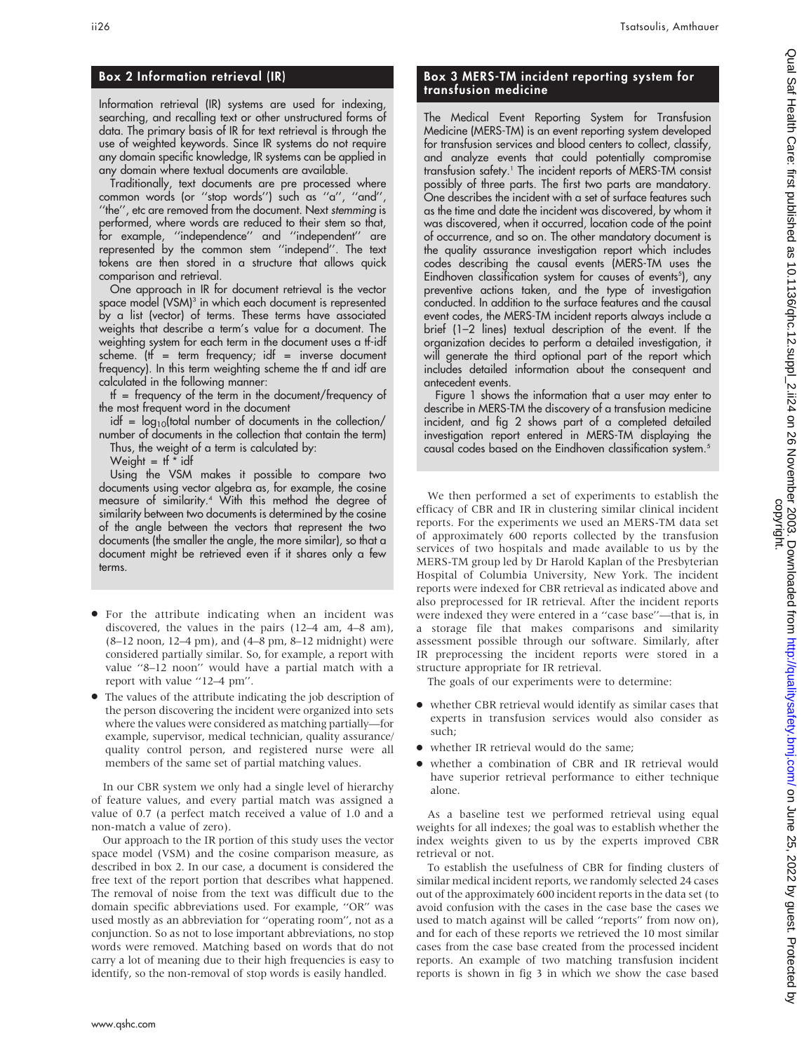## Box 2 Information retrieval (IR)

Information retrieval (IR) systems are used for indexing, searching, and recalling text or other unstructured forms of data. The primary basis of IR for text retrieval is through the use of weighted keywords. Since IR systems do not require any domain specific knowledge, IR systems can be applied in any domain where textual documents are available.

Traditionally, text documents are pre processed where common words (or ''stop words'') such as ''a'', ''and'', ''the'', etc are removed from the document. Next stemming is performed, where words are reduced to their stem so that, for example, ''independence'' and ''independent'' are represented by the common stem ''independ''. The text tokens are then stored in a structure that allows quick comparison and retrieval.

One approach in IR for document retrieval is the vector space model (VSM)<sup>3</sup> in which each document is represented by a list (vector) of terms. These terms have associated weights that describe a term's value for a document. The weighting system for each term in the document uses a tf-idf scheme. ( $tf$  = term frequency;  $idf$  = inverse document frequency). In this term weighting scheme the tf and idf are calculated in the following manner:

 $tf = frequency of the term in the document/frequency of$ the most frequent word in the document

idf =  $log_{10}$ (total number of documents in the collection/ number of documents in the collection that contain the term) Thus, the weight of a term is calculated by:

Weight =  $tf * idf$ 

Using the VSM makes it possible to compare two documents using vector algebra as, for example, the cosine measure of similarity.4 With this method the degree of similarity between two documents is determined by the cosine of the angle between the vectors that represent the two documents (the smaller the angle, the more similar), so that a document might be retrieved even if it shares only a few terms.

- For the attribute indicating when an incident was discovered, the values in the pairs (12–4 am, 4–8 am), (8–12 noon, 12–4 pm), and (4–8 pm, 8–12 midnight) were considered partially similar. So, for example, a report with value ''8–12 noon'' would have a partial match with a report with value ''12–4 pm''.
- $\bullet$  The values of the attribute indicating the job description of the person discovering the incident were organized into sets where the values were considered as matching partially—for example, supervisor, medical technician, quality assurance/ quality control person, and registered nurse were all members of the same set of partial matching values.

In our CBR system we only had a single level of hierarchy of feature values, and every partial match was assigned a value of 0.7 (a perfect match received a value of 1.0 and a non-match a value of zero).

Our approach to the IR portion of this study uses the vector space model (VSM) and the cosine comparison measure, as described in box 2. In our case, a document is considered the free text of the report portion that describes what happened. The removal of noise from the text was difficult due to the domain specific abbreviations used. For example, ''OR'' was used mostly as an abbreviation for ''operating room'', not as a conjunction. So as not to lose important abbreviations, no stop words were removed. Matching based on words that do not carry a lot of meaning due to their high frequencies is easy to identify, so the non-removal of stop words is easily handled.

## Box 3 MERS-TM incident reporting system for transfusion medicine

The Medical Event Reporting System for Transfusion Medicine (MERS-TM) is an event reporting system developed for transfusion services and blood centers to collect, classify, and analyze events that could potentially compromise transfusion safety.1 The incident reports of MERS-TM consist possibly of three parts. The first two parts are mandatory. One describes the incident with a set of surface features such as the time and date the incident was discovered, by whom it was discovered, when it occurred, location code of the point of occurrence, and so on. The other mandatory document is the quality assurance investigation report which includes codes describing the causal events (MERS-TM uses the Eindhoven classification system for causes of events<sup>5</sup>), any preventive actions taken, and the type of investigation conducted. In addition to the surface features and the causal event codes, the MERS-TM incident reports always include a brief (1–2 lines) textual description of the event. If the organization decides to perform a detailed investigation, it will generate the third optional part of the report which includes detailed information about the consequent and antecedent events.

Figure 1 shows the information that a user may enter to describe in MERS-TM the discovery of a transfusion medicine incident, and fig 2 shows part of a completed detailed investigation report entered in MERS-TM displaying the causal codes based on the Eindhoven classification system.<sup>5</sup>

We then performed a set of experiments to establish the efficacy of CBR and IR in clustering similar clinical incident reports. For the experiments we used an MERS-TM data set of approximately 600 reports collected by the transfusion services of two hospitals and made available to us by the MERS-TM group led by Dr Harold Kaplan of the Presbyterian Hospital of Columbia University, New York. The incident reports were indexed for CBR retrieval as indicated above and also preprocessed for IR retrieval. After the incident reports were indexed they were entered in a ''case base''—that is, in a storage file that makes comparisons and similarity assessment possible through our software. Similarly, after IR preprocessing the incident reports were stored in a structure appropriate for IR retrieval.

The goals of our experiments were to determine:

- whether CBR retrieval would identify as similar cases that experts in transfusion services would also consider as such;
- whether IR retrieval would do the same;
- N whether a combination of CBR and IR retrieval would have superior retrieval performance to either technique alone.

As a baseline test we performed retrieval using equal weights for all indexes; the goal was to establish whether the index weights given to us by the experts improved CBR retrieval or not.

To establish the usefulness of CBR for finding clusters of similar medical incident reports, we randomly selected 24 cases out of the approximately 600 incident reports in the data set (to avoid confusion with the cases in the case base the cases we used to match against will be called ''reports'' from now on), and for each of these reports we retrieved the 10 most similar cases from the case base created from the processed incident reports. An example of two matching transfusion incident reports is shown in fig 3 in which we show the case based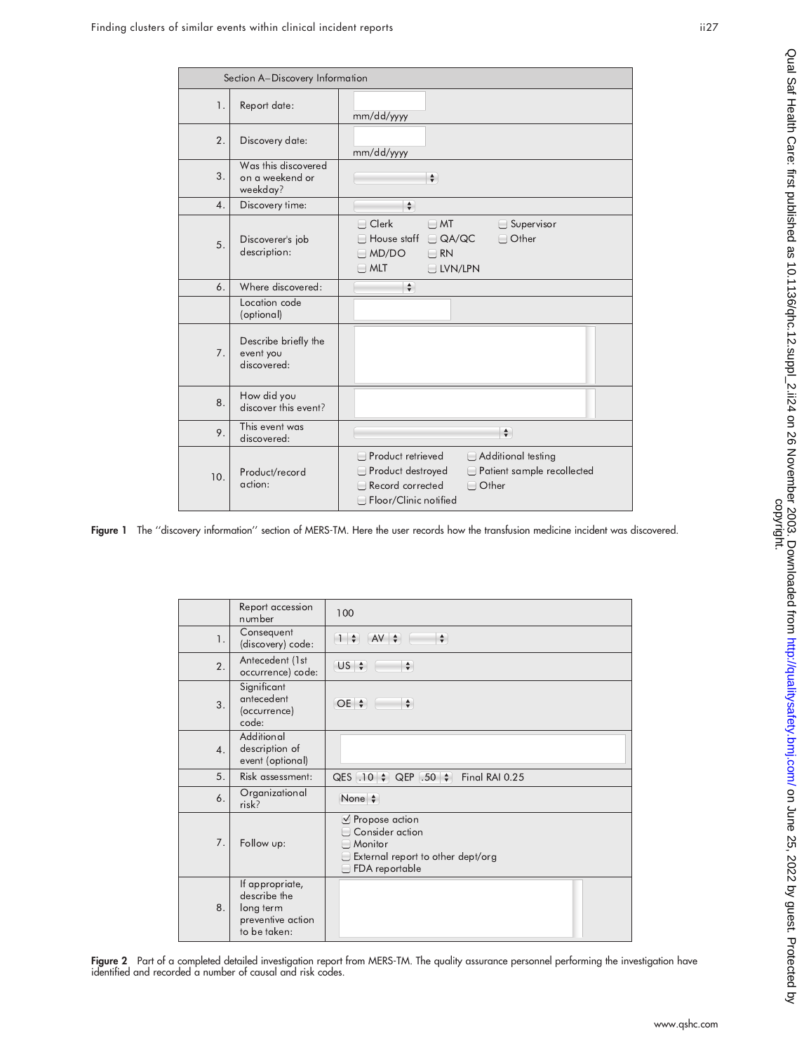|                  | Section A-Discovery Information                    |                                                                                                                                                                                     |
|------------------|----------------------------------------------------|-------------------------------------------------------------------------------------------------------------------------------------------------------------------------------------|
| 1.               | Report date:                                       | mm/dd/yyyy                                                                                                                                                                          |
| 2.               | Discovery date:                                    | mm/dd/yyyy                                                                                                                                                                          |
| 3.               | Was this discovered<br>on a weekend or<br>weekday? | $\div$                                                                                                                                                                              |
| $\overline{4}$ . | Discovery time:                                    | $\frac{1}{\sqrt{2}}$                                                                                                                                                                |
| 5.               | Discoverer's job<br>description:                   | $\Box$ Clerk<br>$\Box$ MT<br>$\Box$ Supervisor<br>$\Box$ Other<br>$\Box$ QA/QC<br>House staff<br>MD/DO<br>$\Box$ RN<br>$\Box$ MLT<br>□ LVN/LPN                                      |
| 6.               | Where discovered:                                  | $\div$                                                                                                                                                                              |
|                  | Location code<br>(optional)                        |                                                                                                                                                                                     |
| 7.               | Describe briefly the<br>event you<br>discovered:   |                                                                                                                                                                                     |
| 8.               | How did you<br>discover this event?                |                                                                                                                                                                                     |
| 9.               | This event was<br>discovered:                      | $\div$                                                                                                                                                                              |
| 10.              | Product/record<br>action:                          | Product retrieved<br>Additional testing<br>Product destroyed<br>Patient sample recollected<br>Record corrected<br>$\Box$ Other<br>$\overline{\phantom{a}}$<br>Floor/Clinic notified |

Figure 1 The ''discovery information'' section of MERS-TM. Here the user records how the transfusion medicine incident was discovered.

|                  | Report accession<br>number                                                        | 100                                                                                                        |
|------------------|-----------------------------------------------------------------------------------|------------------------------------------------------------------------------------------------------------|
| 1.               | Consequent<br>(discovery) code:                                                   | $1 \div \text{A} \times \div$<br>$\div$                                                                    |
| 2.               | Antecedent (1st<br>occurrence) code:                                              | $US$ $\div$<br>$\div$                                                                                      |
| 3.               | Significant<br>antecedent<br>(occurrence)<br>code:                                | $OE$ $\div$<br>$\div$                                                                                      |
| $\overline{4}$ . | Additional<br>description of<br>event (optional)                                  |                                                                                                            |
| 5.               | Risk assessment:                                                                  | QES $(.10 \mid \oplus)$ QEP $(.50 \mid \oplus)$<br>Final RAI 0.25                                          |
| 6.               | Organizational<br>risk?                                                           | None $\div$                                                                                                |
| 7.               | Follow up:                                                                        | $\vee$ Propose action<br>Consider action<br>Monitor<br>External report to other dept/org<br>FDA reportable |
| 8.               | If appropriate,<br>describe the<br>long term<br>preventive action<br>to be taken: |                                                                                                            |

Figure 2 Part of a completed detailed investigation report from MERS-TM. The quality assurance personnel performing the investigation have identified and recorded a number of causal and risk codes.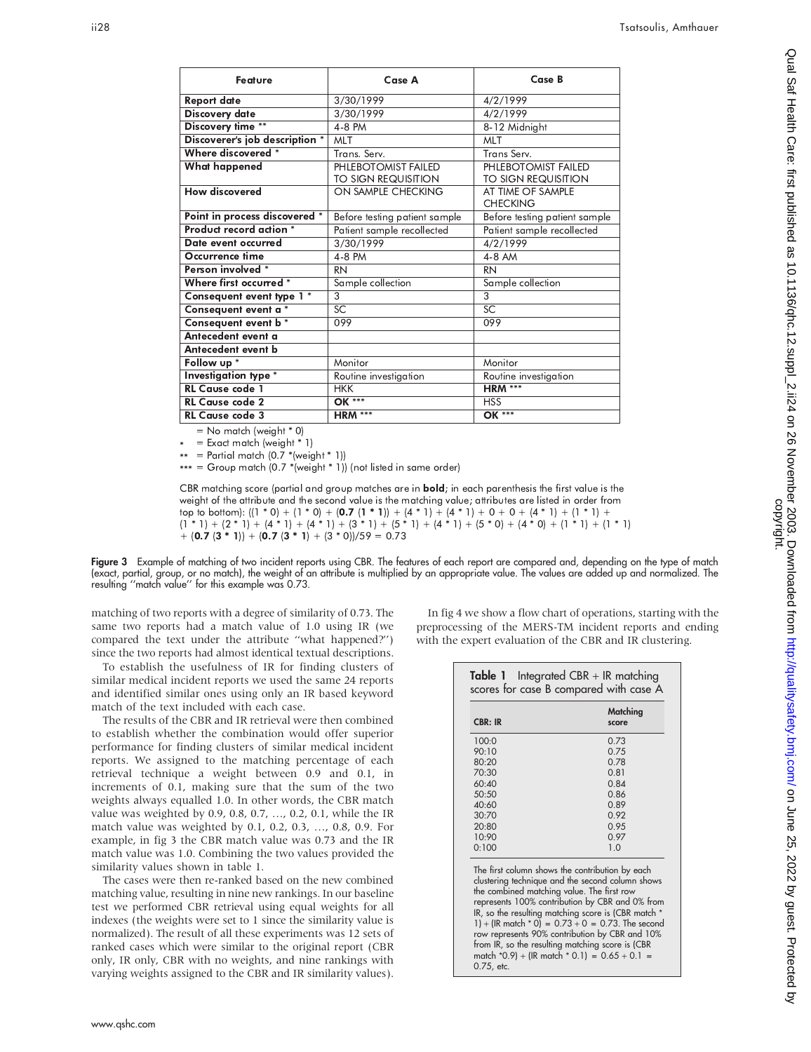| <b>Feature</b>                 | Case A                                     | Case B                                     |
|--------------------------------|--------------------------------------------|--------------------------------------------|
| <b>Report date</b>             | 3/30/1999                                  | 4/2/1999                                   |
| Discovery date                 | 3/30/1999                                  | 4/2/1999                                   |
| Discovery time **              | 4-8 PM                                     | 8-12 Midnight                              |
| Discoverer's job description * | MLT                                        | MLT                                        |
| Where discovered *             | Trans, Serv.                               | Trans Serv.                                |
| <b>What happened</b>           | PHLEBOTOMIST FAILED<br>TO SIGN REQUISITION | PHLEBOTOMIST FAILED<br>TO SIGN REQUISITION |
| How discovered                 | ON SAMPLE CHECKING                         | AT TIME OF SAMPLE<br><b>CHECKING</b>       |
| Point in process discovered *  | Before testing patient sample              | Before testing patient sample              |
| Product record action *        | Patient sample recollected                 | Patient sample recollected                 |
| Date event occurred            | 3/30/1999                                  | 4/2/1999                                   |
| Occurrence time                | 4-8 PM                                     | 4-8 AM                                     |
| Person involved *              | <b>RN</b>                                  | <b>RN</b>                                  |
| Where first occurred *         | Sample collection                          | Sample collection                          |
| Consequent event type 1 *      | 3                                          | 3                                          |
| Consequent event a *           | SC                                         | <b>SC</b>                                  |
| Consequent event b *           | 099                                        | 099                                        |
| Antecedent event a             |                                            |                                            |
| Antecedent event b             |                                            |                                            |
| Follow up *                    | Monitor                                    | Monitor                                    |
| Investigation type *           | Routine investigation                      | Routine investigation                      |
| <b>RL Cause code 1</b>         | <b>HKK</b>                                 | <b>HRM ***</b>                             |
| <b>RL Cause code 2</b>         | <b>OK ***</b>                              | <b>HSS</b>                                 |
| <b>RL Cause code 3</b>         | <b>HRM ***</b>                             | OK ***                                     |

 $=$  No match (weight  $*$  0)

= Exact match (weight \* 1) \*

 $=$  Partial match  $(0.7 * (weight * 1))$ 

\*\* = Partial match (0.7 \*(weight \* 1))<br>\*\*\* = Group match (0.7 \*(weight \* 1)) (not listed in same order) \*\*\*

CBR matching score (partial and group matches are in **bold**; in each parenthesis the first value is the weight of the attribute and the second value is the matching value; attributes are listed in order from top to bottom): ((1 \* 0) + (1 \* 0) + (**0.7** (**1 \* 1**)) + (4 \* 1) + (4 \* 1) + 0 + 0 + (4 \* 1) + (1 \* 1) +  $(1 \; * \; 1) \; + \; (2 \; * \; 1) \; + \; (4 \; * \; 1) \; + \; (4 \; * \; 1) \; + \; (3 \; * \; 1) \; + \; (5 \; * \; 1) \; + \; (5 \; * \; 0) \; + \; (4 \; * \; 0) \; + \; (1 \; * \; 1) \; + \; (1 \; * \; 1)$  $+$  (0.7 (3  $*$  1)) + (0.7 (3  $*$  1) + (3  $*$  0))/59 = 0.73

Figure 3 Example of matching of two incident reports using CBR. The features of each report are compared and, depending on the type of match (exact, partial, group, or no match), the weight of an attribute is multiplied by an appropriate value. The values are added up and normalized. The resulting ''match value'' for this example was 0.73.

matching of two reports with a degree of similarity of 0.73. The same two reports had a match value of 1.0 using IR (we compared the text under the attribute ''what happened?'') since the two reports had almost identical textual descriptions.

To establish the usefulness of IR for finding clusters of similar medical incident reports we used the same 24 reports and identified similar ones using only an IR based keyword match of the text included with each case.

The results of the CBR and IR retrieval were then combined to establish whether the combination would offer superior performance for finding clusters of similar medical incident reports. We assigned to the matching percentage of each retrieval technique a weight between 0.9 and 0.1, in increments of 0.1, making sure that the sum of the two weights always equalled 1.0. In other words, the CBR match value was weighted by 0.9, 0.8, 0.7, …, 0.2, 0.1, while the IR match value was weighted by 0.1, 0.2, 0.3, …, 0.8, 0.9. For example, in fig 3 the CBR match value was 0.73 and the IR match value was 1.0. Combining the two values provided the similarity values shown in table 1.

The cases were then re-ranked based on the new combined matching value, resulting in nine new rankings. In our baseline test we performed CBR retrieval using equal weights for all indexes (the weights were set to 1 since the similarity value is normalized). The result of all these experiments was 12 sets of ranked cases which were similar to the original report (CBR only, IR only, CBR with no weights, and nine rankings with varying weights assigned to the CBR and IR similarity values).

In fig 4 we show a flow chart of operations, starting with the preprocessing of the MERS-TM incident reports and ending with the expert evaluation of the CBR and IR clustering.

| <b>CBR: IR</b> | Matching<br>score                                                                                                                                                                                                                                                                                                  |
|----------------|--------------------------------------------------------------------------------------------------------------------------------------------------------------------------------------------------------------------------------------------------------------------------------------------------------------------|
| 100:0          | 0.73                                                                                                                                                                                                                                                                                                               |
| 90:10          | 0.75                                                                                                                                                                                                                                                                                                               |
| 80:20          | 0.78                                                                                                                                                                                                                                                                                                               |
| 70:30          | 0.81                                                                                                                                                                                                                                                                                                               |
| 60:40          | 0.84                                                                                                                                                                                                                                                                                                               |
| 50:50          | 0.86                                                                                                                                                                                                                                                                                                               |
| 40:60          | 0.89                                                                                                                                                                                                                                                                                                               |
| 30:70          | 0.92                                                                                                                                                                                                                                                                                                               |
| 20:80          | 0.95                                                                                                                                                                                                                                                                                                               |
| 10:90          | 0.97                                                                                                                                                                                                                                                                                                               |
| 0:100          | 1.0                                                                                                                                                                                                                                                                                                                |
|                | The first column shows the contribution by each<br>clustering technique and the second column shows<br>the combined matching value. The first row<br>represents 100% contribution by CBR and 0% from<br>IR, so the resulting matching score is (CBR match *<br>1) + (IR match $*$ 0) = 0.73 + 0 = 0.73. The second |

row represents 90% contribution by CBR and 10% from IR, so the resulting matching score is (CBR match  $*0.9$ ) + (IR match  $*0.1$ ) =  $0.65 + 0.1$  = 0.75, etc.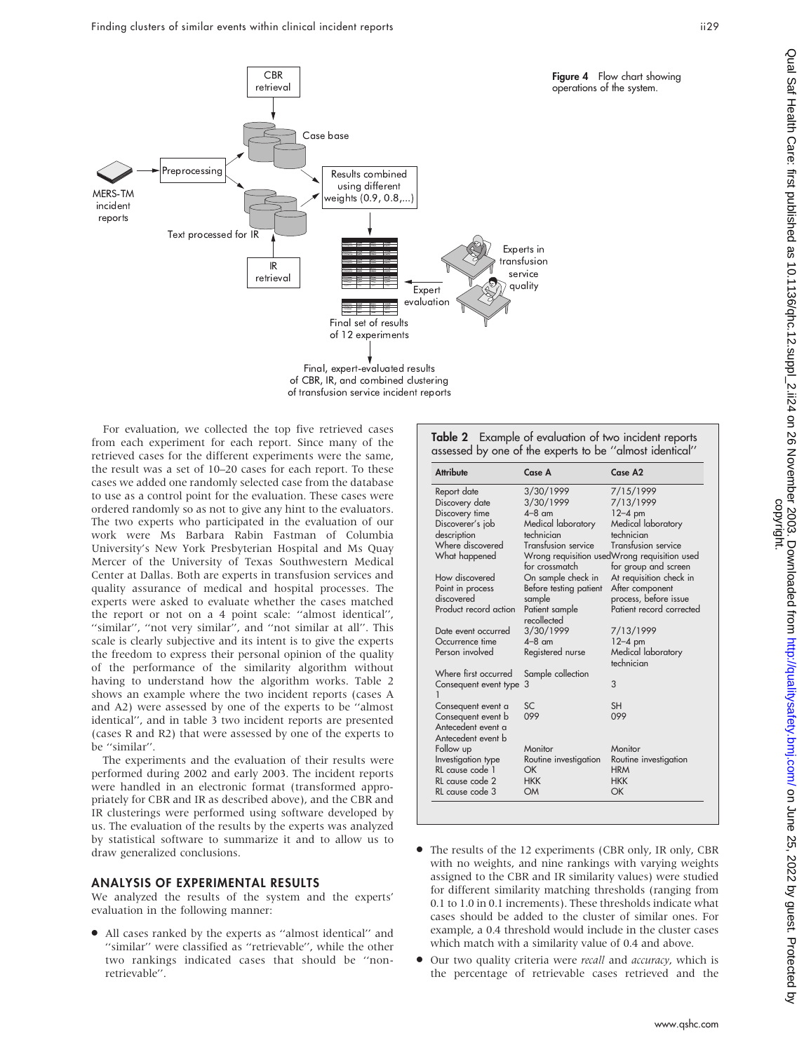

of CBR, IR, and combined clustering of transfusion service incident reports

For evaluation, we collected the top five retrieved cases from each experiment for each report. Since many of the retrieved cases for the different experiments were the same, the result was a set of 10–20 cases for each report. To these cases we added one randomly selected case from the database to use as a control point for the evaluation. These cases were ordered randomly so as not to give any hint to the evaluators. The two experts who participated in the evaluation of our work were Ms Barbara Rabin Fastman of Columbia University's New York Presbyterian Hospital and Ms Quay Mercer of the University of Texas Southwestern Medical Center at Dallas. Both are experts in transfusion services and quality assurance of medical and hospital processes. The experts were asked to evaluate whether the cases matched the report or not on a 4 point scale: ''almost identical'', ''similar'', ''not very similar'', and ''not similar at all''. This scale is clearly subjective and its intent is to give the experts the freedom to express their personal opinion of the quality of the performance of the similarity algorithm without having to understand how the algorithm works. Table 2 shows an example where the two incident reports (cases A and A2) were assessed by one of the experts to be ''almost identical'', and in table 3 two incident reports are presented (cases R and R2) that were assessed by one of the experts to be ''similar''.

The experiments and the evaluation of their results were performed during 2002 and early 2003. The incident reports were handled in an electronic format (transformed appropriately for CBR and IR as described above), and the CBR and IR clusterings were performed using software developed by us. The evaluation of the results by the experts was analyzed by statistical software to summarize it and to allow us to draw generalized conclusions.

#### ANALYSIS OF EXPERIMENTAL RESULTS

We analyzed the results of the system and the experts' evaluation in the following manner:

• All cases ranked by the experts as "almost identical" and ''similar'' were classified as ''retrievable'', while the other two rankings indicated cases that should be ''nonretrievable''.

| Table 2 Example of evaluation of two incident reports   |
|---------------------------------------------------------|
| assessed by one of the experts to be "almost identical" |

| <b>Attribute</b>      | Case A                        | Case A2                                      |
|-----------------------|-------------------------------|----------------------------------------------|
| Report date           | 3/30/1999                     | 7/15/1999                                    |
| Discovery date        | 3/30/1999                     | 7/13/1999                                    |
| Discovery time        | $4-8$ am                      | $12 - 4$ pm                                  |
| Discoverer's job      | Medical laboratory            | Medical laboratory                           |
| description           | technician                    | technician                                   |
| Where discovered      | Transfusion service           | Transfusion service                          |
| What happened         |                               | Wrong requisition usedWrong requisition used |
|                       | for crossmatch                | for group and screen                         |
| How discovered        | On sample check in            | At requisition check in                      |
| Point in process      | Before testing patient        | After component                              |
| discovered            | sample                        | process, before issue                        |
| Product record action | Patient sample<br>recollected | Patient record corrected                     |
| Date event occurred   | 3/30/1999                     | 7/13/1999                                    |
| Occurrence time       | $4-8$ am                      | $12-4$ pm                                    |
| Person involved       | Registered nurse              | Medical laboratory<br>technician             |
| Where first occurred  | Sample collection             |                                              |
| Consequent event type | 3                             | 3                                            |
| Consequent event a    | SC                            | SH                                           |
| Consequent event b    | 099                           | 099                                          |
| Antecedent event a    |                               |                                              |
| Antecedent event b    |                               |                                              |
| Follow up             | Monitor                       | Monitor                                      |
| Investigation type    | Routine investigation         | Routine investigation                        |
| RL cause code 1       | ОK                            | <b>HRM</b>                                   |
| RL cause code 2       | <b>HKK</b>                    | <b>HKK</b>                                   |
| RL cause code 3       | OM                            | OK                                           |

- The results of the 12 experiments (CBR only, IR only, CBR with no weights, and nine rankings with varying weights assigned to the CBR and IR similarity values) were studied for different similarity matching thresholds (ranging from 0.1 to 1.0 in 0.1 increments). These thresholds indicate what cases should be added to the cluster of similar ones. For example, a 0.4 threshold would include in the cluster cases which match with a similarity value of 0.4 and above.
- Our two quality criteria were *recall* and *accuracy*, which is the percentage of retrievable cases retrieved and the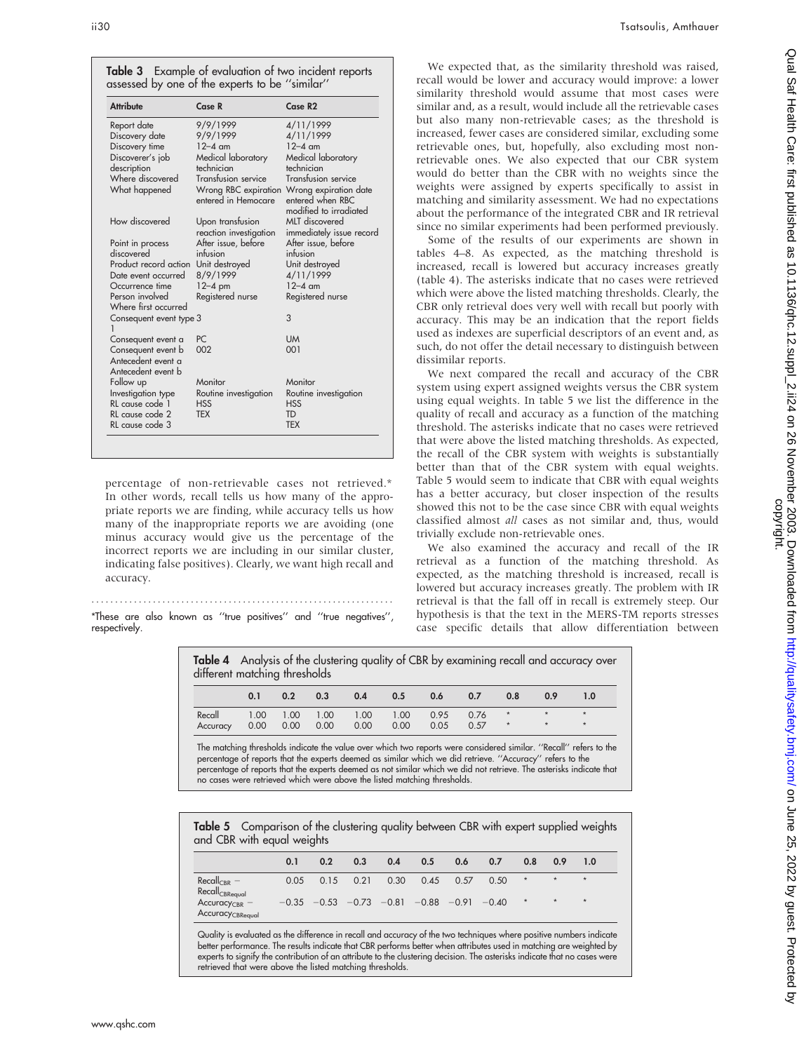| Table 3 Example of evaluation of two incident reports |
|-------------------------------------------------------|
| assessed by one of the experts to be "similar"        |

| <b>Attribute</b>                                               | Case R                                      | Case R2                                                             |
|----------------------------------------------------------------|---------------------------------------------|---------------------------------------------------------------------|
| Report date                                                    | 9/9/1999                                    | 4/11/1999                                                           |
| Discovery date                                                 | 9/9/1999                                    | 4/11/1999                                                           |
| Discovery time                                                 | $12 - 4$ am                                 | $12 - 4$ am                                                         |
| Discoverer's job                                               | Medical laboratory                          | Medical laboratory                                                  |
| description                                                    | technician                                  | technician                                                          |
| Where discovered                                               | Transfusion service                         | Transfusion service                                                 |
| What happened                                                  | Wrong RBC expiration<br>entered in Hemocare | Wrong expiration date<br>entered when RBC<br>modified to irradiated |
| How discovered                                                 | Upon transfusion                            | MLT discovered                                                      |
|                                                                | reaction investigation                      | immediately issue record                                            |
| Point in process                                               | After issue, before                         | After issue, before                                                 |
| discovered                                                     | infusion                                    | infusion                                                            |
| Product record action                                          | Unit destroyed                              | Unit destroyed                                                      |
| Date event occurred                                            | 8/9/1999                                    | 4/11/1999                                                           |
| Occurrence time                                                | $12-4$ pm                                   | $12-4$ am                                                           |
| Person involved<br>Where first occurred                        | Registered nurse                            | Registered nurse                                                    |
| Consequent event type 3                                        |                                             | 3                                                                   |
| Consequent event a                                             | PC                                          | <b>UM</b>                                                           |
| Consequent event b<br>Antecedent event a<br>Antecedent event b | 002                                         | 001                                                                 |
| Follow up                                                      | Monitor                                     | Monitor                                                             |
| Investigation type                                             | Routine investigation                       | Routine investigation                                               |
| RL cause code 1                                                | <b>HSS</b>                                  | <b>HSS</b>                                                          |
| RL cause code 2                                                | <b>TFX</b>                                  | TD                                                                  |
| RL cause code 3                                                |                                             | <b>TFX</b>                                                          |

percentage of non-retrievable cases not retrieved.\* In other words, recall tells us how many of the appropriate reports we are finding, while accuracy tells us how many of the inappropriate reports we are avoiding (one minus accuracy would give us the percentage of the incorrect reports we are including in our similar cluster, indicating false positives). Clearly, we want high recall and accuracy.

\*These are also known as ''true positives'' and ''true negatives'', respectively.

............................................................... .

We expected that, as the similarity threshold was raised, recall would be lower and accuracy would improve: a lower similarity threshold would assume that most cases were similar and, as a result, would include all the retrievable cases but also many non-retrievable cases; as the threshold is increased, fewer cases are considered similar, excluding some retrievable ones, but, hopefully, also excluding most nonretrievable ones. We also expected that our CBR system would do better than the CBR with no weights since the weights were assigned by experts specifically to assist in matching and similarity assessment. We had no expectations about the performance of the integrated CBR and IR retrieval since no similar experiments had been performed previously.

Some of the results of our experiments are shown in tables 4–8. As expected, as the matching threshold is increased, recall is lowered but accuracy increases greatly (table 4). The asterisks indicate that no cases were retrieved which were above the listed matching thresholds. Clearly, the CBR only retrieval does very well with recall but poorly with accuracy. This may be an indication that the report fields used as indexes are superficial descriptors of an event and, as such, do not offer the detail necessary to distinguish between dissimilar reports.

We next compared the recall and accuracy of the CBR system using expert assigned weights versus the CBR system using equal weights. In table 5 we list the difference in the quality of recall and accuracy as a function of the matching threshold. The asterisks indicate that no cases were retrieved that were above the listed matching thresholds. As expected, the recall of the CBR system with weights is substantially better than that of the CBR system with equal weights. Table 5 would seem to indicate that CBR with equal weights has a better accuracy, but closer inspection of the results showed this not to be the case since CBR with equal weights classified almost all cases as not similar and, thus, would trivially exclude non-retrievable ones.

We also examined the accuracy and recall of the IR retrieval as a function of the matching threshold. As expected, as the matching threshold is increased, recall is lowered but accuracy increases greatly. The problem with IR retrieval is that the fall off in recall is extremely steep. Our hypothesis is that the text in the MERS-TM reports stresses case specific details that allow differentiation between

Table 4 Analysis of the clustering quality of CBR by examining recall and accuracy over different matching thresholds

|                                                         | 0.1                  | 0.2 | 0.3 | $0.4$ $0.5$ $0.6$ $0.7$ |  |             | 0.8     | 0.9                        | 1.0 |
|---------------------------------------------------------|----------------------|-----|-----|-------------------------|--|-------------|---------|----------------------------|-----|
| Recall 1.00 1.00 1.00 1.00 1.00 0.95 0.76 *<br>Accuracy | $0.00$ $0.00$ $0.00$ |     |     | 0.00 0.00               |  | $0.05$ 0.57 | $\star$ | $\star$ $\star$<br>$\star$ |     |

The matching thresholds indicate the value over which two reports were considered similar. ''Recall'' refers to the percentage of reports that the experts deemed as similar which we did retrieve. ''Accuracy'' refers to the percentage of reports that the experts deemed as not similar which we did not retrieve. The asterisks indicate that no cases were retrieved which were above the listed matching thresholds.

| Table 5 Comparison of the clustering quality between CBR with expert supplied weights<br>and CBR with equal weights |      |      |                                                         |      |      |      |      |         |         |         |
|---------------------------------------------------------------------------------------------------------------------|------|------|---------------------------------------------------------|------|------|------|------|---------|---------|---------|
|                                                                                                                     | 0.1  | 0.2  | 0.3                                                     | 0.4  | 0.5  | 0.6  | 0.7  | 0.8     | 0.9     | 1.0     |
| $Recall_{CRR}$ –<br>Recall <sub>CBReal</sub>                                                                        | 0.05 | 0.15 | 0.21                                                    | 0.30 | 0.45 | 0.57 | 0.50 | $\star$ | $\star$ | $\star$ |
| $AccuracyCBR$ –<br><b>Accuracy</b> CBRequal                                                                         |      |      | $-0.35$ $-0.53$ $-0.73$ $-0.81$ $-0.88$ $-0.91$ $-0.40$ |      |      |      |      | $\star$ | $\star$ | $\star$ |

Quality is evaluated as the difference in recall and accuracy of the two techniques where positive numbers indicate better performance. The results indicate that CBR performs better when attributes used in matching are weighted by experts to signify the contribution of an attribute to the clustering decision. The asterisks indicate that no cases were retrieved that were above the listed matching thresholds.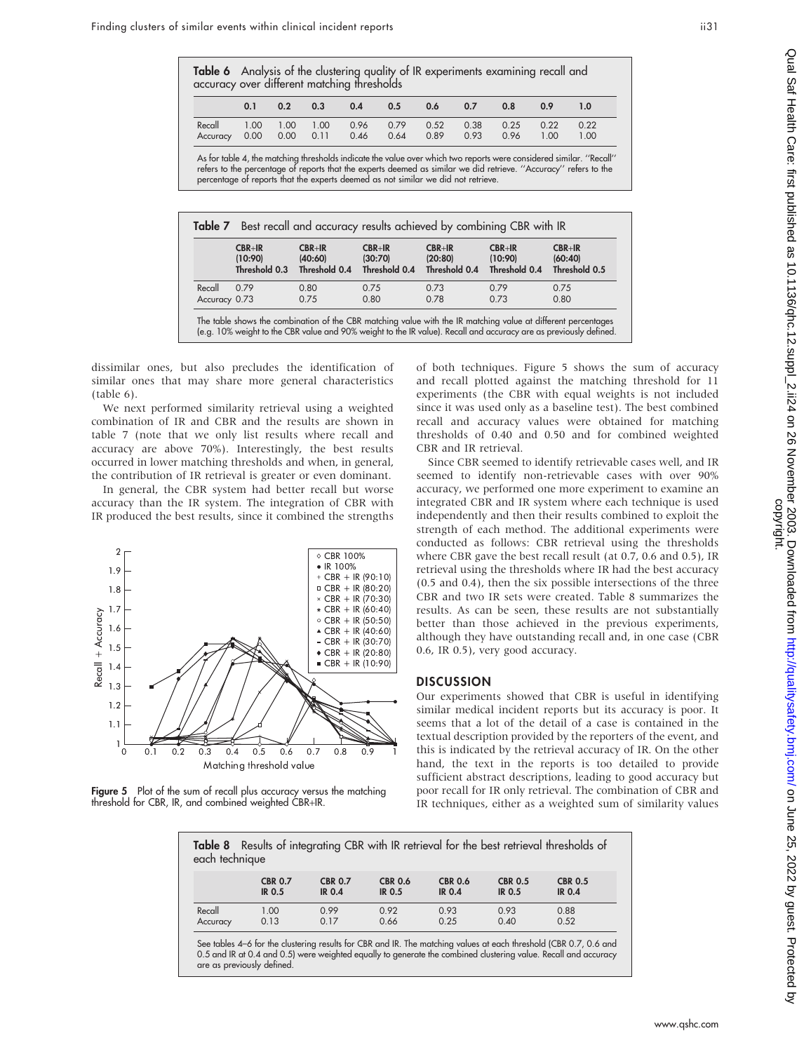|                                                                                | 0.2 | 0.3 | 0.4 | 0.5 | 0.6  | 0.7  | 0.8          | 0.9          | 1.0          |
|--------------------------------------------------------------------------------|-----|-----|-----|-----|------|------|--------------|--------------|--------------|
| Recall 1.00 1.00 1.00 0.96 0.79<br>Accuracy 0.00 0.00 0.11 0.46 0.64 0.89 0.93 |     |     |     |     | 0.52 | 0.38 | 0.25<br>0.96 | 0.22<br>1.00 | 0.22<br>1.00 |

As for table 4, the matching thresholds indicate the value over which two reports were considered similar. ''Recall'' refers to the percentage of reports that the experts deemed as similar we did retrieve. ''Accuracy'' refers to the percentage of reports that the experts deemed as not similar we did not retrieve.

|               | $CBR+IR$      | $CBR + IR$    | $CBR+IR$      | $CBR + IR$    | $CBR + IR$    | CBR+IR        |
|---------------|---------------|---------------|---------------|---------------|---------------|---------------|
|               | (10:90)       | (40:60)       | (30:70)       | (20:80)       | (10:90)       | (60:40)       |
|               | Threshold 0.3 | Threshold 0.4 | Threshold 0.4 | Threshold 0.4 | Threshold 0.4 | Threshold 0.5 |
| Recall        | 0.79          | 0.80          | 0.75          | 0.73          | 0.79          | 0.75          |
| Accuracy 0.73 |               | 0.75          | 0.80          | 0.78          | 0.73          | 0.80          |

(e.g. 10% weight to the CBR value and 90% weight to the IR value). Recall and accuracy are as previously defined.

dissimilar ones, but also precludes the identification of similar ones that may share more general characteristics

(table 6). We next performed similarity retrieval using a weighted combination of IR and CBR and the results are shown in table 7 (note that we only list results where recall and accuracy are above 70%). Interestingly, the best results occurred in lower matching thresholds and when, in general, the contribution of IR retrieval is greater or even dominant.

In general, the CBR system had better recall but worse accuracy than the IR system. The integration of CBR with IR produced the best results, since it combined the strengths



Figure 5 Plot of the sum of recall plus accuracy versus the matching threshold for CBR, IR, and combined weighted CBR+IR.

of both techniques. Figure 5 shows the sum of accuracy and recall plotted against the matching threshold for 11 experiments (the CBR with equal weights is not included since it was used only as a baseline test). The best combined recall and accuracy values were obtained for matching thresholds of 0.40 and 0.50 and for combined weighted CBR and IR retrieval.

Since CBR seemed to identify retrievable cases well, and IR seemed to identify non-retrievable cases with over 90% accuracy, we performed one more experiment to examine an integrated CBR and IR system where each technique is used independently and then their results combined to exploit the strength of each method. The additional experiments were conducted as follows: CBR retrieval using the thresholds where CBR gave the best recall result (at 0.7, 0.6 and 0.5), IR retrieval using the thresholds where IR had the best accuracy (0.5 and 0.4), then the six possible intersections of the three CBR and two IR sets were created. Table 8 summarizes the results. As can be seen, these results are not substantially better than those achieved in the previous experiments, although they have outstanding recall and, in one case (CBR 0.6, IR 0.5), very good accuracy.

### **DISCUSSION**

Our experiments showed that CBR is useful in identifying similar medical incident reports but its accuracy is poor. It seems that a lot of the detail of a case is contained in the textual description provided by the reporters of the event, and this is indicated by the retrieval accuracy of IR. On the other hand, the text in the reports is too detailed to provide sufficient abstract descriptions, leading to good accuracy but poor recall for IR only retrieval. The combination of CBR and IR techniques, either as a weighted sum of similarity values

| Table 8 Results of integrating CBR with IR retrieval for the best retrieval thresholds of<br>each technique |                                 |                                 |                                 |                                 |                                 |                                 |
|-------------------------------------------------------------------------------------------------------------|---------------------------------|---------------------------------|---------------------------------|---------------------------------|---------------------------------|---------------------------------|
|                                                                                                             | <b>CBR 0.7</b><br><b>IR 0.5</b> | <b>CBR 0.7</b><br><b>IR 0.4</b> | <b>CBR 0.6</b><br><b>IR 0.5</b> | <b>CBR 0.6</b><br><b>IR 0.4</b> | <b>CBR 0.5</b><br><b>IR 0.5</b> | <b>CBR 0.5</b><br><b>IR 0.4</b> |
| Recall                                                                                                      | 1.00                            | 0.99                            | 0.92                            | 0.93                            | 0.93                            | 0.88                            |

Accuracy 0.13 0.17 0.66 0.25 0.40 0.52

See tables 4–6 for the clustering results for CBR and IR. The matching values at each threshold (CBR 0.7, 0.6 and 0.5 and IR at 0.4 and 0.5) were weighted equally to generate the combined clustering value. Recall and accuracy are as previously defined.